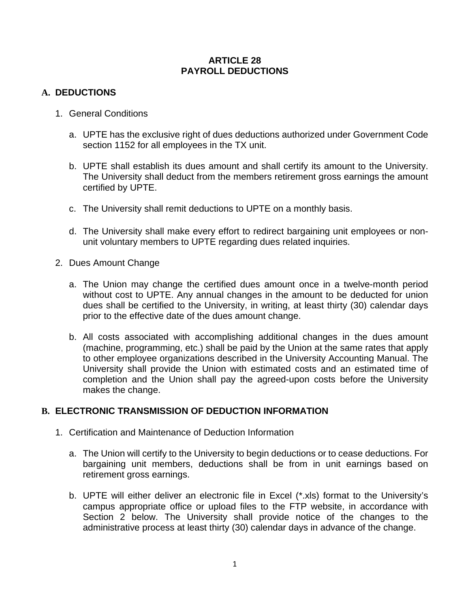#### **ARTICLE 28 PAYROLL DEDUCTIONS**

# **A. DEDUCTIONS**

- 1. General Conditions
	- a. UPTE has the exclusive right of dues deductions authorized under Government Code section 1152 for all employees in the TX unit.
	- b. UPTE shall establish its dues amount and shall certify its amount to the University. The University shall deduct from the members retirement gross earnings the amount certified by UPTE.
	- c. The University shall remit deductions to UPTE on a monthly basis.
	- d. The University shall make every effort to redirect bargaining unit employees or nonunit voluntary members to UPTE regarding dues related inquiries.
- 2. Dues Amount Change
	- a. The Union may change the certified dues amount once in a twelve-month period without cost to UPTE. Any annual changes in the amount to be deducted for union dues shall be certified to the University, in writing, at least thirty (30) calendar days prior to the effective date of the dues amount change.
	- b. All costs associated with accomplishing additional changes in the dues amount (machine, programming, etc.) shall be paid by the Union at the same rates that apply to other employee organizations described in the University Accounting Manual. The University shall provide the Union with estimated costs and an estimated time of completion and the Union shall pay the agreed-upon costs before the University makes the change.

# **B. ELECTRONIC TRANSMISSION OF DEDUCTION INFORMATION**

- 1. Certification and Maintenance of Deduction Information
	- a. The Union will certify to the University to begin deductions or to cease deductions. For bargaining unit members, deductions shall be from in unit earnings based on retirement gross earnings.
	- b. UPTE will either deliver an electronic file in Excel (\*.xls) format to the University's campus appropriate office or upload files to the FTP website, in accordance with Section 2 below. The University shall provide notice of the changes to the administrative process at least thirty (30) calendar days in advance of the change.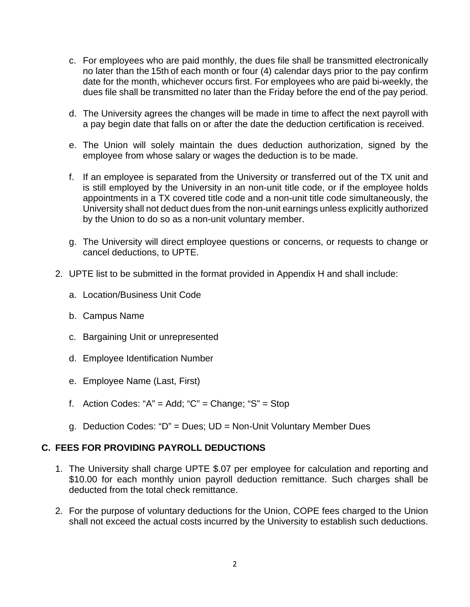- c. For employees who are paid monthly, the dues file shall be transmitted electronically no later than the 15th of each month or four (4) calendar days prior to the pay confirm date for the month, whichever occurs first. For employees who are paid bi-weekly, the dues file shall be transmitted no later than the Friday before the end of the pay period.
- d. The University agrees the changes will be made in time to affect the next payroll with a pay begin date that falls on or after the date the deduction certification is received.
- e. The Union will solely maintain the dues deduction authorization, signed by the employee from whose salary or wages the deduction is to be made.
- f. If an employee is separated from the University or transferred out of the TX unit and is still employed by the University in an non-unit title code, or if the employee holds appointments in a TX covered title code and a non-unit title code simultaneously, the University shall not deduct dues from the non-unit earnings unless explicitly authorized by the Union to do so as a non-unit voluntary member.
- g. The University will direct employee questions or concerns, or requests to change or cancel deductions, to UPTE.
- 2. UPTE list to be submitted in the format provided in Appendix H and shall include:
	- a. Location/Business Unit Code
	- b. Campus Name
	- c. Bargaining Unit or unrepresented
	- d. Employee Identification Number
	- e. Employee Name (Last, First)
	- f. Action Codes: " $A$ " = Add; " $C$ " = Change; " $S$ " = Stop
	- g. Deduction Codes: "D" = Dues; UD = Non-Unit Voluntary Member Dues

# **C. FEES FOR PROVIDING PAYROLL DEDUCTIONS**

- 1. The University shall charge UPTE \$.07 per employee for calculation and reporting and \$10.00 for each monthly union payroll deduction remittance. Such charges shall be deducted from the total check remittance.
- 2. For the purpose of voluntary deductions for the Union, COPE fees charged to the Union shall not exceed the actual costs incurred by the University to establish such deductions.